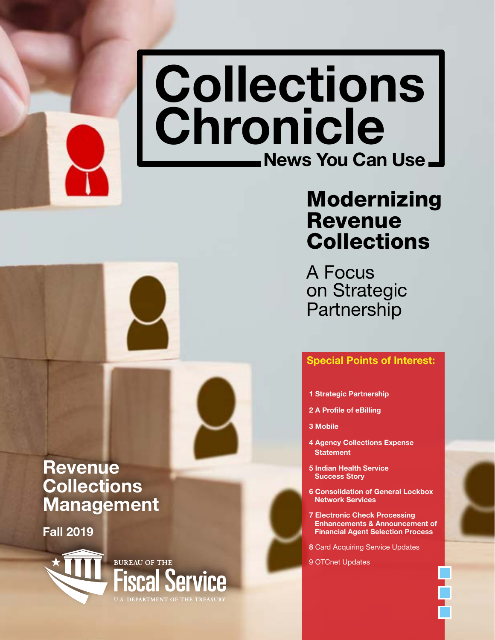# <span id="page-0-0"></span>Collections Chronicle News You Can Use.

## Modernizing Revenue **Collections**

A Focus on Strategic **Partnership** 

### [Special Points of Interest:](#page-1-0)

- 1 [Strategic Partnership](#page-1-0)
- 2 [A Profile of eBilling](#page-2-0)
- 3 [Mobile](#page-3-0)
- 4 [Agency Collections Expense](#page-4-0)  **[Statement](#page-4-0)**
- 5 [Indian Health Service](#page-5-0)  [Success Story](#page-5-0)
- 6 [Consolidation of General Lockbox](#page-6-0)  [Network Services](#page-6-0)
- 7 [Electronic Check Processing](#page-7-0)  [Enhancements & Announcement of](#page-7-0)  [Financial Agent Selection Process](#page-7-0)

8 [Card Acquiring Service Updates](#page-9-0) 

[9 OTCnet Updates](#page-9-0) 

### Revenue **Collections** Management

Fall 2019

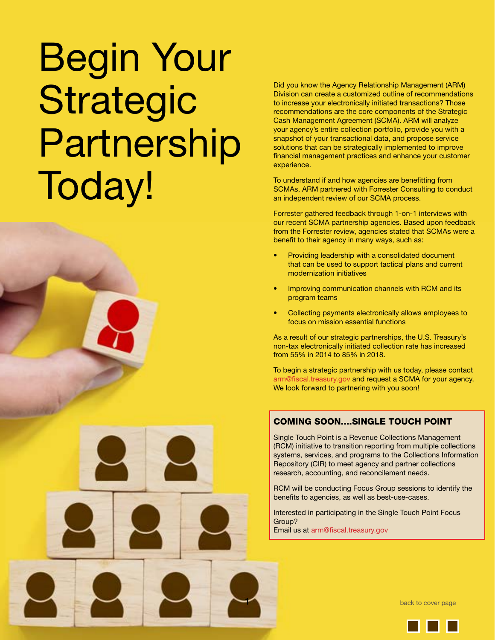# <span id="page-1-0"></span>Begin Your Strategic Partnership Today!



To understand if and how agencies are benefitting from SCMAs, ARM partnered with Forrester Consulting to conduct an independent review of our SCMA process.

Forrester gathered feedback through 1-on-1 interviews with our recent SCMA partnership agencies. Based upon feedback from the Forrester review, agencies stated that SCMAs were a benefit to their agency in many ways, such as:

- Providing leadership with a consolidated document that can be used to support tactical plans and current modernization initiatives
- Improving communication channels with RCM and its program teams
- Collecting payments electronically allows employees to focus on mission essential functions

As a result of our strategic partnerships, the U.S. Treasury's non-tax electronically initiated collection rate has increased from 55% in 2014 to 85% in 2018.

To begin a strategic partnership with us today, please contact [arm@fiscal.treasury.gov](mailto:arm@fiscal.treasury.gov) and request a SCMA for your agency. We look forward to partnering with you soon!

### COMING SOON....SINGLE TOUCH POINT

Single Touch Point is a Revenue Collections Management (RCM) initiative to transition reporting from multiple collections systems, services, and programs to the Collections Information Repository (CIR) to meet agency and partner collections research, accounting, and reconcilement needs.

RCM will be conducting Focus Group sessions to identify the benefits to agencies, as well as best-use-cases.

Interested in participating in the Single Touch Point Focus Group? Email us at [arm@fiscal.treasury.gov](mailto:arm@fiscal.treasury.gov)

[back to cover page](#page-0-0)

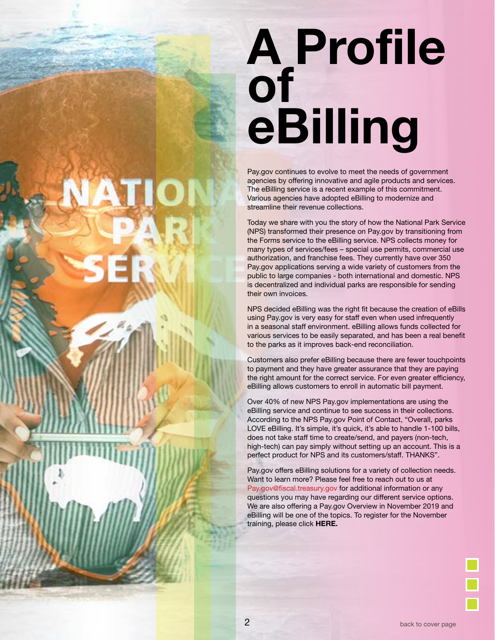# <span id="page-2-0"></span>A Profile **of** eBilling

Pay.gov continues to evolve to meet the needs of government agencies by offering innovative and agile products and services. The eBilling service is a recent example of this commitment. Various agencies have adopted eBilling to modernize and streamline their revenue collections.

Today we share with you the story of how the National Park Service (NPS) transformed their presence on Pay.gov by transitioning from the Forms service to the eBilling service. NPS collects money for many types of services/fees – special use permits, commercial use authorization, and franchise fees. They currently have over 350 Pay.gov applications serving a wide variety of customers from the public to large companies - both international and domestic. NPS is decentralized and individual parks are responsible for sending their own invoices.

NPS decided eBilling was the right fit because the creation of eBills using Pay.gov is very easy for staff even when used infrequently in a seasonal staff environment. eBilling allows funds collected for various services to be easily separated, and has been a real benefit to the parks as it improves back-end reconciliation.

Customers also prefer eBilling because there are fewer touchpoints to payment and they have greater assurance that they are paying the right amount for the correct service. For even greater efficiency, eBilling allows customers to enroll in automatic bill payment.

Over 40% of new NPS Pay.gov implementations are using the eBilling service and continue to see success in their collections. According to the NPS Pay.gov Point of Contact, "Overall, parks LOVE eBilling. It's simple, it's quick, it's able to handle 1-100 bills, does not take staff time to create/send, and payers (non-tech, high-tech) can pay simply without setting up an account. This is a perfect product for NPS and its customers/staff. THANKS".

Pay.gov offers eBilling solutions for a variety of collection needs. Want to learn more? Please feel free to reach out to us at [Pay.gov@fiscal.treasury.gov](mailto:arm@fiscal.treasury.gov) for additional information or any questions you may have regarding our different service options. We are also offering a Pay.gov Overview in November 2019 and eBilling will be one of the topics. To register for the November training, please click [HERE.](https://www.fiscal.treasury.gov/training/)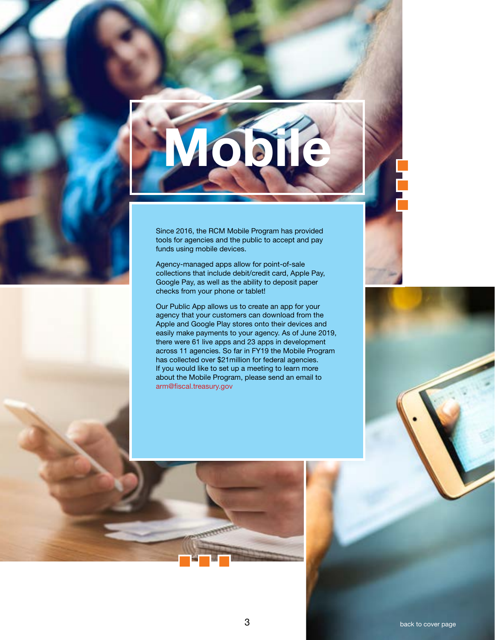<span id="page-3-0"></span>

Since 2016, the RCM Mobile Program has provided tools for agencies and the public to accept and pay funds using mobile devices.

Agency-managed apps allow for point-of-sale collections that include debit/credit card, Apple Pay, Google Pay, as well as the ability to deposit paper checks from your phone or tablet!

Our Public App allows us to create an app for your agency that your customers can download from the Apple and Google Play stores onto their devices and easily make payments to your agency. As of June 2019, there were 61 live apps and 23 apps in development across 11 agencies. So far in FY19 the Mobile Program has collected over \$21million for federal agencies. If you would like to set up a meeting to learn more about the Mobile Program, please send an email to [arm@fiscal.treasury.gov](http://mailto;arm@fiscal.treasury.gov)

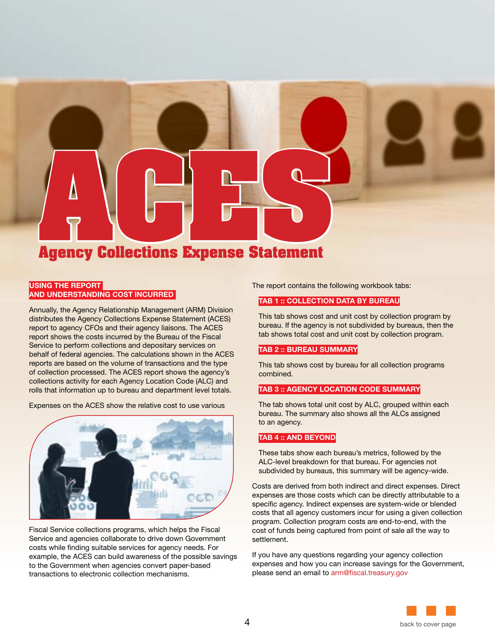<span id="page-4-0"></span>

### USING THE REPORT AND UNDERSTANDING COST INCURRED

Annually, the Agency Relationship Management (ARM) Division distributes the Agency Collections Expense Statement (ACES) report to agency CFOs and their agency liaisons. The ACES report shows the costs incurred by the Bureau of the Fiscal Service to perform collections and depositary services on behalf of federal agencies. The calculations shown in the ACES reports are based on the volume of transactions and the type of collection processed. The ACES report shows the agency's collections activity for each Agency Location Code (ALC) and rolls that information up to bureau and department level totals.

Expenses on the ACES show the relative cost to use various



Fiscal Service collections programs, which helps the Fiscal Service and agencies collaborate to drive down Government costs while finding suitable services for agency needs. For example, the ACES can build awareness of the possible savings to the Government when agencies convert paper-based transactions to electronic collection mechanisms.

The report contains the following workbook tabs:

### TAB 1 :: COLLECTION DATA BY BUREAU

This tab shows cost and unit cost by collection program by bureau. If the agency is not subdivided by bureaus, then the tab shows total cost and unit cost by collection program.

### TAB 2 :: BUREAU SUMMARY

This tab shows cost by bureau for all collection programs combined.

### TAB 3 :: AGENCY LOCATION CODE SUMMARY

The tab shows total unit cost by ALC, grouped within each bureau. The summary also shows all the ALCs assigned to an agency.

### TAB 4 :: AND BEYOND

These tabs show each bureau's metrics, followed by the ALC-level breakdown for that bureau. For agencies not subdivided by bureaus, this summary will be agency-wide.

Costs are derived from both indirect and direct expenses. Direct expenses are those costs which can be directly attributable to a specific agency. Indirect expenses are system-wide or blended costs that all agency customers incur for using a given collection program. Collection program costs are end-to-end, with the cost of funds being captured from point of sale all the way to settlement.

If you have any questions regarding your agency collection expenses and how you can increase savings for the Government, please send an email to [arm@fiscal.treasury.gov](mailto:arm@fiscal.treasury.gov)

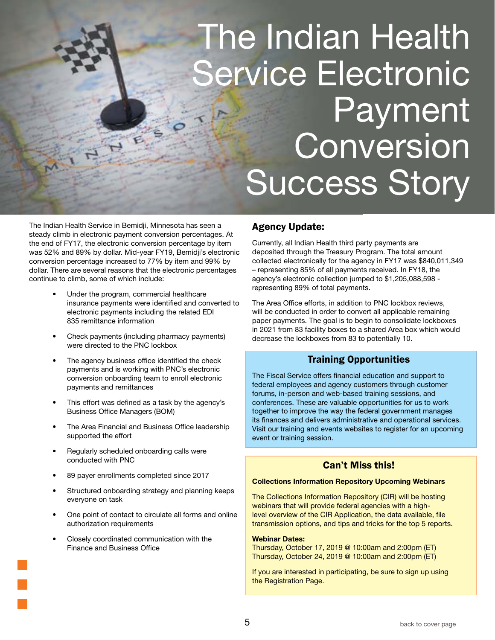# <span id="page-5-0"></span>The Indian Health ervice Electronic Payment Conversion Success Story

The Indian Health Service in Bemidji, Minnesota has seen a steady climb in electronic payment conversion percentages. At the end of FY17, the electronic conversion percentage by item was 52% and 89% by dollar. Mid-year FY19, Bemidji's electronic conversion percentage increased to 77% by item and 99% by dollar. There are several reasons that the electronic percentages continue to climb, some of which include:

- Under the program, commercial healthcare insurance payments were identified and converted to electronic payments including the related EDI 835 remittance information
- Check payments (including pharmacy payments) were directed to the PNC lockbox
- The agency business office identified the check payments and is working with PNC's electronic conversion onboarding team to enroll electronic payments and remittances
- This effort was defined as a task by the agency's Business Office Managers (BOM)
- The Area Financial and Business Office leadership supported the effort
- Regularly scheduled onboarding calls were conducted with PNC
- 89 payer enrollments completed since 2017
- Structured onboarding strategy and planning keeps everyone on task
- One point of contact to circulate all forms and online authorization requirements
- Closely coordinated communication with the Finance and Business Office

### Agency Update:

Currently, all Indian Health third party payments are deposited through the Treasury Program. The total amount collected electronically for the agency in FY17 was \$840,011,349 – representing 85% of all payments received. In FY18, the agency's electronic collection jumped to \$1,205,088,598 representing 89% of total payments.

The Area Office efforts, in addition to PNC lockbox reviews, will be conducted in order to convert all applicable remaining paper payments. The goal is to begin to consolidate lockboxes in 2021 from 83 facility boxes to a shared Area box which would decrease the lockboxes from 83 to potentially 10.

### Training Opportunities

The Fiscal Service offers financial education and support to federal employees and agency customers through customer forums, in-person and web-based training sessions, and conferences. These are valuable opportunities for us to work together to improve the way the federal government manages its finances and delivers administrative and operational services. Visit our training and events websites to register for an upcoming event or training session.

### Can't Miss this!

### Collections Information Repository Upcoming Webinars

The Collections Information Repository (CIR) will be hosting webinars that will provide federal agencies with a highlevel overview of the CIR Application, the data available, file transmission options, and tips and tricks for the top 5 reports.

### Webinar Dates:

Thursday, October 17, 2019 @ 10:00am and 2:00pm (ET) Thursday, October 24, 2019 @ 10:00am and 2:00pm (ET)

If you are interested in participating, be sure to sign up using the Registration Page.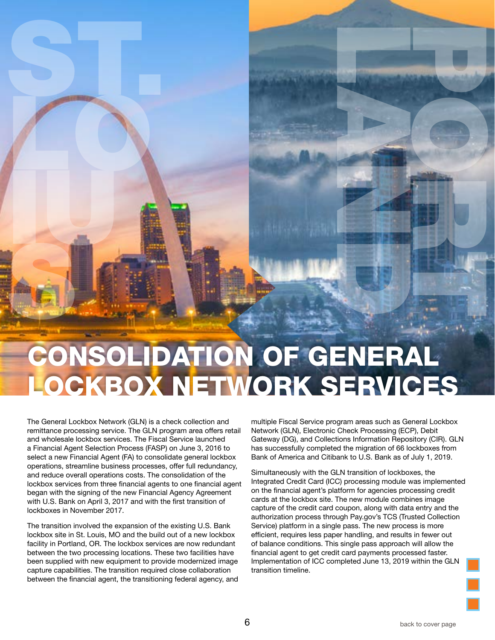# CONSOLIDATION OF GENERAL LOCKBOX NETWORK SERVICES IUS

The General Lockbox Network (GLN) is a check collection and remittance processing service. The GLN program area offers retail and wholesale lockbox services. The Fiscal Service launched a Financial Agent Selection Process (FASP) on June 3, 2016 to select a new Financial Agent (FA) to consolidate general lockbox operations, streamline business processes, offer full redundancy, and reduce overall operations costs. The consolidation of the lockbox services from three financial agents to one financial agent began with the signing of the new Financial Agency Agreement with U.S. Bank on April 3, 2017 and with the first transition of lockboxes in November 2017.

<span id="page-6-0"></span>ST. LO

The transition involved the expansion of the existing U.S. Bank lockbox site in St. Louis, MO and the build out of a new lockbox facility in Portland, OR. The lockbox services are now redundant between the two processing locations. These two facilities have been supplied with new equipment to provide modernized image capture capabilities. The transition required close collaboration between the financial agent, the transitioning federal agency, and multiple Fiscal Service program areas such as General Lockbox Network (GLN), Electronic Check Processing (ECP), Debit Gateway (DG), and Collections Information Repository (CIR). GLN has successfully completed the migration of 66 lockboxes from Bank of America and Citibank to U.S. Bank as of July 1, 2019.

LAND COMPANY

PORT OF THE REAL

Simultaneously with the GLN transition of lockboxes, the Integrated Credit Card (ICC) processing module was implemented on the financial agent's platform for agencies processing credit cards at the lockbox site. The new module combines image capture of the credit card coupon, along with data entry and the authorization process through Pay.gov's TCS (Trusted Collection Service) platform in a single pass. The new process is more efficient, requires less paper handling, and results in fewer out of balance conditions. This single pass approach will allow the financial agent to get credit card payments processed faster. Implementation of ICC completed June 13, 2019 within the GLN transition timeline.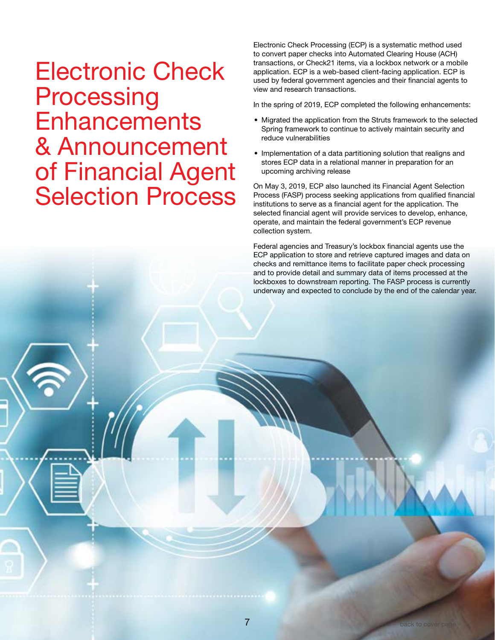## <span id="page-7-0"></span>Electronic Check **Processing Enhancements** & Announcement of Financial Agent Selection Process

Electronic Check Processing (ECP) is a systematic method used to convert paper checks into Automated Clearing House (ACH) transactions, or Check21 items, via a lockbox network or a mobile application. ECP is a web-based client-facing application. ECP is used by federal government agencies and their financial agents to view and research transactions.

In the spring of 2019, ECP completed the following enhancements:

- Migrated the application from the Struts framework to the selected Spring framework to continue to actively maintain security and reduce vulnerabilities
- Implementation of a data partitioning solution that realigns and stores ECP data in a relational manner in preparation for an upcoming archiving release

On May 3, 2019, ECP also launched its Financial Agent Selection Process (FASP) process seeking applications from qualified financial institutions to serve as a financial agent for the application. The selected financial agent will provide services to develop, enhance, operate, and maintain the federal government's ECP revenue collection system.

Federal agencies and Treasury's lockbox financial agents use the ECP application to store and retrieve captured images and data on checks and remittance items to facilitate paper check processing and to provide detail and summary data of items processed at the lockboxes to downstream reporting. The FASP process is currently underway and expected to conclude by the end of the calendar year.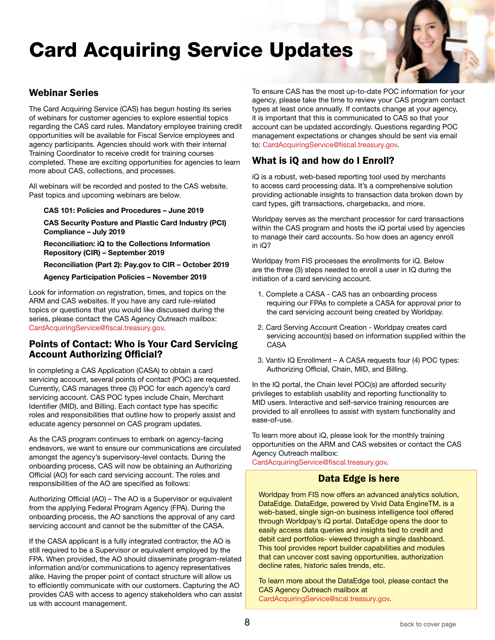## Card Acquiring Service Updates

### Webinar Series

The Card Acquiring Service (CAS) has begun hosting its series of webinars for customer agencies to explore essential topics regarding the CAS card rules. Mandatory employee training credit opportunities will be available for Fiscal Service employees and agency participants. Agencies should work with their internal Training Coordinator to receive credit for training courses completed. These are exciting opportunities for agencies to learn more about CAS, collections, and processes.

All webinars will be recorded and posted to the CAS website. Past topics and upcoming webinars are below.

CAS 101: Policies and Procedures – June 2019

CAS Security Posture and Plastic Card Industry (PCI) Compliance – July 2019

Reconciliation: iQ to the Collections Information Repository (CIR) – September 2019

Reconciliation (Part 2): Pay.gov to CIR – October 2019

Agency Participation Policies – November 2019

Look for information on registration, times, and topics on the ARM and CAS websites. If you have any card rule-related topics or questions that you would like discussed during the series, please contact the CAS Agency Outreach mailbox: [CardAcquiringService@fiscal.treasury.gov](mailto:CardAcquiringService@fiscal.treasury.gov).

### Points of Contact: Who is Your Card Servicing Account Authorizing Official?

In completing a CAS Application (CASA) to obtain a card servicing account, several points of contact (POC) are requested. Currently, CAS manages three (3) POC for each agency's card servicing account. CAS POC types include Chain, Merchant Identifier (MID), and Billing. Each contact type has specific roles and responsibilities that outline how to properly assist and educate agency personnel on CAS program updates.

As the CAS program continues to embark on agency-facing endeavors, we want to ensure our communications are circulated amongst the agency's supervisory-level contacts. During the onboarding process, CAS will now be obtaining an Authorizing Official (AO) for each card servicing account. The roles and responsibilities of the AO are specified as follows:

Authorizing Official (AO) – The AO is a Supervisor or equivalent from the applying Federal Program Agency (FPA). During the onboarding process, the AO sanctions the approval of any card servicing account and cannot be the submitter of the CASA.

If the CASA applicant is a fully integrated contractor, the AO is still required to be a Supervisor or equivalent employed by the FPA. When provided, the AO should disseminate program-related information and/or communications to agency representatives alike. Having the proper point of contact structure will allow us to efficiently communicate with our customers. Capturing the AO provides CAS with access to agency stakeholders who can assist us with account management.

To ensure CAS has the most up-to-date POC information for your agency, please take the time to review your CAS program contact types at least once annually. If contacts change at your agency, it is important that this is communicated to CAS so that your account can be updated accordingly. Questions regarding POC management expectations or changes should be sent via email to: [CardAcquiringService@fiscal.treasury.gov](mailto:CardAcquiringService@fiscal.treasury.gov).

### What is iQ and how do I Enroll?

iQ is a robust, web-based reporting tool used by merchants to access card processing data. It's a comprehensive solution providing actionable insights to transaction data broken down by card types, gift transactions, chargebacks, and more.

Worldpay serves as the merchant processor for card transactions within the CAS program and hosts the iQ portal used by agencies to manage their card accounts. So how does an agency enroll in iQ?

Worldpay from FIS processes the enrollments for iQ. Below are the three (3) steps needed to enroll a user in IQ during the initiation of a card servicing account.

- 1. Complete a CASA CAS has an onboarding process requiring our FPAs to complete a CASA for approval prior to the card servicing account being created by Worldpay.
- 2. Card Serving Account Creation Worldpay creates card servicing account(s) based on information supplied within the CASA
- 3. Vantiv IQ Enrollment A CASA requests four (4) POC types: Authorizing Official, Chain, MID, and Billing.

In the IQ portal, the Chain level POC(s) are afforded security privileges to establish usability and reporting functionality to MID users. Interactive and self-service training resources are provided to all enrollees to assist with system functionality and ease-of-use.

To learn more about iQ, please look for the monthly training opportunities on the ARM and CAS websites or contact the CAS Agency Outreach mailbox:

[CardAcquiringService@fiscal.treasury.gov](mailto:CardAcquiringService@fiscal.treasury.gov).

### Data Edge is here

Worldpay from FIS now offers an advanced analytics solution, DataEdge. DataEdge, powered by Vivid Data EngineTM, is a web-based, single sign-on business intelligence tool offered through Worldpay's iQ portal. DataEdge opens the door to easily access data queries and insights tied to credit and debit card portfolios- viewed through a single dashboard. This tool provides report builder capabilities and modules that can uncover cost saving opportunities, authorization decline rates, historic sales trends, etc.

To learn more about the DataEdge tool, please contact the CAS Agency Outreach mailbox at [CardAcquiringService@scal.treasury.gov.](mailto:CardAcquiringService%40scal.treasury.gov?subject=)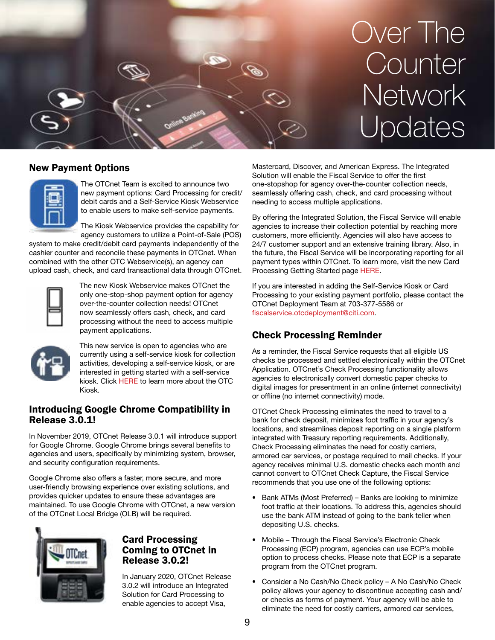<span id="page-9-0"></span>

### New Payment Options

The OTCnet Team is excited to announce two new payment options: Card Processing for credit/ debit cards and a Self-Service Kiosk Webservice to enable users to make self-service payments.

The Kiosk Webservice provides the capability for agency customers to utilize a Point-of-Sale (POS)

system to make credit/debit card payments independently of the cashier counter and reconcile these payments in OTCnet. When combined with the other OTC Webservice(s), an agency can upload cash, check, and card transactional data through OTCnet.



The new Kiosk Webservice makes OTCnet the only one-stop-shop payment option for agency over-the-counter collection needs! OTCnet now seamlessly offers cash, check, and card processing without the need to access multiple payment applications.



This new service is open to agencies who are currently using a self-service kiosk for collection activities, developing a self-service kiosk, or are interested in getting started with a self-service kiosk. Click [HERE](https://www.fiscal.treasury.gov/otcnet/OTC-kiosk.html) to learn more about the OTC Kiosk.

### Introducing Google Chrome Compatibility in Release 3.0.1!

In November 2019, OTCnet Release 3.0.1 will introduce support for Google Chrome. Google Chrome brings several benefits to agencies and users, specifically by minimizing system, browser, and security configuration requirements.

Google Chrome also offers a faster, more secure, and more user-friendly browsing experience over existing solutions, and provides quicker updates to ensure these advantages are maintained. To use Google Chrome with OTCnet, a new version of the OTCnet Local Bridge (OLB) will be required.



### Card Processing Coming to OTCnet in Release 3.0.2!

In January 2020, OTCnet Release 3.0.2 will introduce an Integrated Solution for Card Processing to enable agencies to accept Visa,

Mastercard, Discover, and American Express. The Integrated Solution will enable the Fiscal Service to offer the first one-stopshop for agency over-the-counter collection needs, seamlessly offering cash, check, and card processing without needing to access multiple applications.

By offering the Integrated Solution, the Fiscal Service will enable agencies to increase their collection potential by reaching more customers, more efficiently. Agencies will also have access to 24/7 customer support and an extensive training library. Also, in the future, the Fiscal Service will be incorporating reporting for all payment types within OTCnet. To learn more, visit the new Card Processing Getting Started page [HERE.](https://www.fiscal.treasury.gov/otcnet/card-processing.html)

If you are interested in adding the Self-Service Kiosk or Card Processing to your existing payment portfolio, please contact the OTCnet Deployment Team at 703-377-5586 or [fiscalservice.otcdeployment@citi.com](mailto:fiscalservice.otcdeployment@citi.com).

### Check Processing Reminder

As a reminder, the Fiscal Service requests that all eligible US checks be processed and settled electronically within the OTCnet Application. OTCnet's Check Processing functionality allows agencies to electronically convert domestic paper checks to digital images for presentment in an online (internet connectivity) or offline (no internet connectivity) mode.

OTCnet Check Processing eliminates the need to travel to a bank for check deposit, minimizes foot traffic in your agency's locations, and streamlines deposit reporting on a single platform integrated with Treasury reporting requirements. Additionally, Check Processing eliminates the need for costly carriers, armored car services, or postage required to mail checks. If your agency receives minimal U.S. domestic checks each month and cannot convert to OTCnet Check Capture, the Fiscal Service recommends that you use one of the following options:

- Bank ATMs (Most Preferred) Banks are looking to minimize foot traffic at their locations. To address this, agencies should use the bank ATM instead of going to the bank teller when depositing U.S. checks.
- Mobile Through the Fiscal Service's Electronic Check Processing (ECP) program, agencies can use ECP's mobile option to process checks. Please note that ECP is a separate program from the OTCnet program.
- Consider a No Cash/No Check policy A No Cash/No Check policy allows your agency to discontinue accepting cash and/ or checks as forms of payment. Your agency will be able to eliminate the need for costly carriers, armored car services,